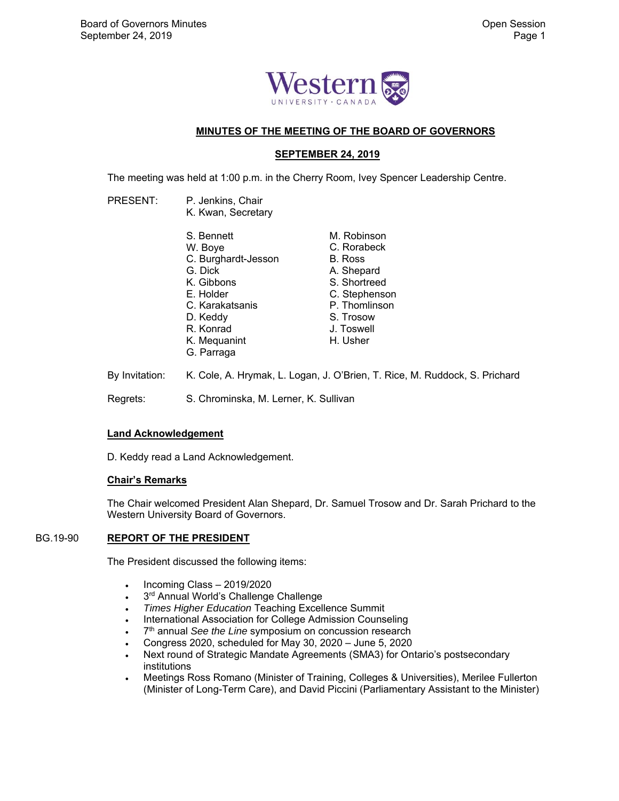

# **MINUTES OF THE MEETING OF THE BOARD OF GOVERNORS**

## **SEPTEMBER 24, 2019**

The meeting was held at 1:00 p.m. in the Cherry Room, Ivey Spencer Leadership Centre.

| <b>PRESENT:</b> | P. Jenkins, Chair<br>K. Kwan, Secretary |               |  |
|-----------------|-----------------------------------------|---------------|--|
|                 | S. Bennett                              | M. Robinson   |  |
|                 | W. Boye                                 | C. Rorabeck   |  |
|                 | C. Burghardt-Jesson                     | B. Ross       |  |
|                 | G. Dick                                 | A. Shepard    |  |
|                 | K. Gibbons                              | S. Shortreed  |  |
|                 | E. Holder                               | C. Stephenson |  |
|                 | C. Karakatsanis                         | P. Thomlinson |  |
|                 | D. Keddy                                | S. Trosow     |  |
|                 | R. Konrad                               | J. Toswell    |  |
|                 | K. Mequanint                            | H. Usher      |  |
|                 | G. Parraga                              |               |  |
|                 |                                         |               |  |

By Invitation: K. Cole, A. Hrymak, L. Logan, J. O'Brien, T. Rice, M. Ruddock, S. Prichard Regrets: S. Chrominska, M. Lerner, K. Sullivan

# **Land Acknowledgement**

D. Keddy read a Land Acknowledgement.

### **Chair's Remarks**

The Chair welcomed President Alan Shepard, Dr. Samuel Trosow and Dr. Sarah Prichard to the Western University Board of Governors.

#### BG.19-90 **REPORT OF THE PRESIDENT**

The President discussed the following items:

- $\cdot$  Incoming Class 2019/2020
- $3<sup>rd</sup>$  Annual World's Challenge Challenge
- *Times Higher Education* Teaching Excellence Summit
- International Association for College Admission Counseling
- <sup>•</sup> 7<sup>th</sup> annual *See the Line* symposium on concussion research
- Congress 2020, scheduled for May 30, 2020 June 5, 2020
- Next round of Strategic Mandate Agreements (SMA3) for Ontario's postsecondary institutions
- Meetings Ross Romano (Minister of Training, Colleges & Universities), Merilee Fullerton (Minister of Long-Term Care), and David Piccini (Parliamentary Assistant to the Minister)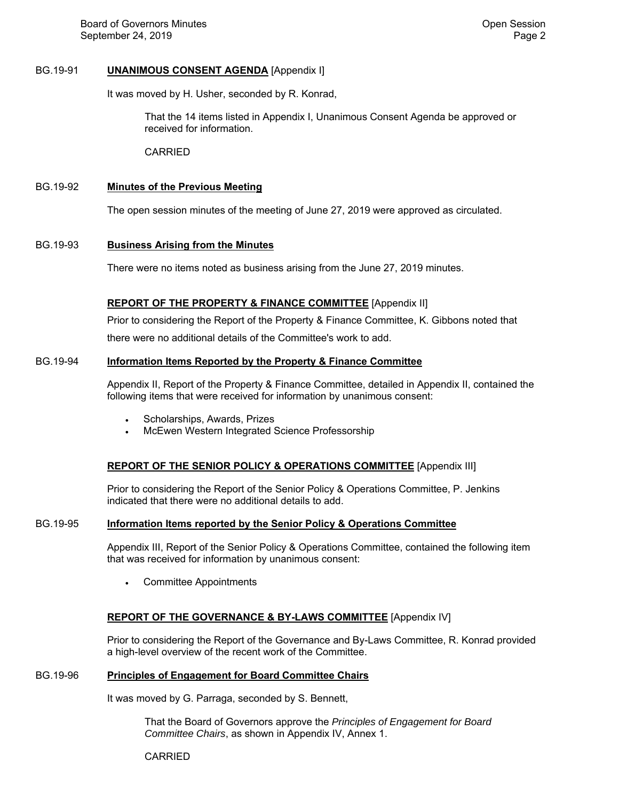# BG.19-91 **UNANIMOUS CONSENT AGENDA** [Appendix I]

It was moved by H. Usher, seconded by R. Konrad,

That the 14 items listed in Appendix I, Unanimous Consent Agenda be approved or received for information.

CARRIED

#### BG.19-92 **Minutes of the Previous Meeting**

The open session minutes of the meeting of June 27, 2019 were approved as circulated.

#### BG.19-93 **Business Arising from the Minutes**

There were no items noted as business arising from the June 27, 2019 minutes.

# **REPORT OF THE PROPERTY & FINANCE COMMITTEE** [Appendix II]

Prior to considering the Report of the Property & Finance Committee, K. Gibbons noted that there were no additional details of the Committee's work to add.

#### BG.19-94 **Information Items Reported by the Property & Finance Committee**

Appendix II, Report of the Property & Finance Committee, detailed in Appendix II, contained the following items that were received for information by unanimous consent:

- Scholarships, Awards, Prizes
- McEwen Western Integrated Science Professorship

### **REPORT OF THE SENIOR POLICY & OPERATIONS COMMITTEE** [Appendix III]

Prior to considering the Report of the Senior Policy & Operations Committee, P. Jenkins indicated that there were no additional details to add.

### BG.19-95 **Information Items reported by the Senior Policy & Operations Committee**

Appendix III, Report of the Senior Policy & Operations Committee, contained the following item that was received for information by unanimous consent:

Committee Appointments

### **REPORT OF THE GOVERNANCE & BY-LAWS COMMITTEE** [Appendix IV]

Prior to considering the Report of the Governance and By-Laws Committee, R. Konrad provided a high-level overview of the recent work of the Committee.

### BG.19-96 **Principles of Engagement for Board Committee Chairs**

It was moved by G. Parraga, seconded by S. Bennett,

That the Board of Governors approve the *Principles of Engagement for Board Committee Chairs*, as shown in Appendix IV, Annex 1.

CARRIED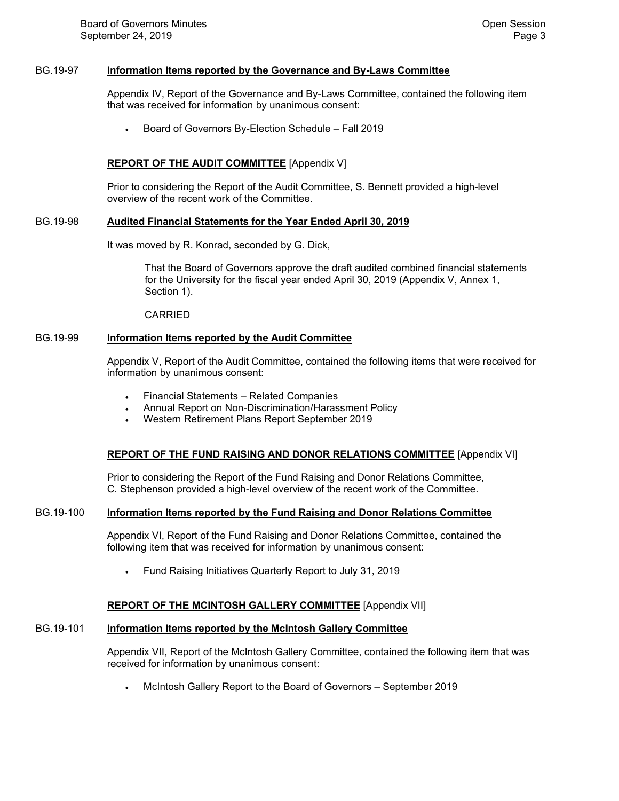#### BG.19-97 **Information Items reported by the Governance and By-Laws Committee**

 Appendix IV, Report of the Governance and By-Laws Committee, contained the following item that was received for information by unanimous consent:

Board of Governors By-Election Schedule – Fall 2019

## **REPORT OF THE AUDIT COMMITTEE** [Appendix V]

 Prior to considering the Report of the Audit Committee, S. Bennett provided a high-level overview of the recent work of the Committee.

#### BG.19-98 **Audited Financial Statements for the Year Ended April 30, 2019**

It was moved by R. Konrad, seconded by G. Dick,

That the Board of Governors approve the draft audited combined financial statements for the University for the fiscal year ended April 30, 2019 (Appendix V, Annex 1, Section 1).

CARRIED

#### BG.19-99 **Information Items reported by the Audit Committee**

 Appendix V, Report of the Audit Committee, contained the following items that were received for information by unanimous consent:

- Financial Statements Related Companies
- Annual Report on Non-Discrimination/Harassment Policy
- Western Retirement Plans Report September 2019

### **REPORT OF THE FUND RAISING AND DONOR RELATIONS COMMITTEE** [Appendix VI]

 Prior to considering the Report of the Fund Raising and Donor Relations Committee, C. Stephenson provided a high-level overview of the recent work of the Committee.

### BG.19-100 **Information Items reported by the Fund Raising and Donor Relations Committee**

 Appendix VI, Report of the Fund Raising and Donor Relations Committee, contained the following item that was received for information by unanimous consent:

Fund Raising Initiatives Quarterly Report to July 31, 2019

### **REPORT OF THE MCINTOSH GALLERY COMMITTEE** [Appendix VII]

# BG.19-101 **Information Items reported by the McIntosh Gallery Committee**

 Appendix VII, Report of the McIntosh Gallery Committee, contained the following item that was received for information by unanimous consent:

McIntosh Gallery Report to the Board of Governors – September 2019